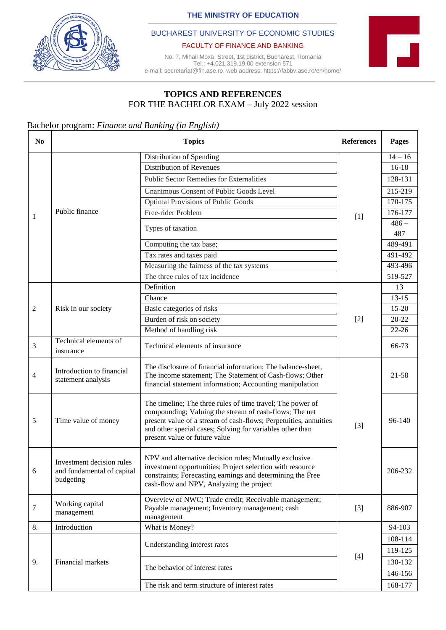**THE MINISTRY OF EDUCATION**



### BUCHAREST UNIVERSITY OF ECONOMIC STUDIES

#### FACULTY OF FINANCE AND BANKING

No. 7, Mihail Moxa Street, 1st district, Bucharest, Romania Tel.: +4.021.319.19.00 extension 571 e-mail: secretariat@fin.ase.ro, web address: https://fabbv.ase.ro/en/home/



# **TOPICS AND REFERENCES**  FOR THE BACHELOR EXAM – July 2022 session

## Bachelor program: *Finance and Banking (in English)*

| N <sub>0</sub> |                                                                                                                                                        | <b>References</b>                                                                                                                                                                                                                                                                      | Pages |           |
|----------------|--------------------------------------------------------------------------------------------------------------------------------------------------------|----------------------------------------------------------------------------------------------------------------------------------------------------------------------------------------------------------------------------------------------------------------------------------------|-------|-----------|
| $\mathbf{1}$   |                                                                                                                                                        | Distribution of Spending                                                                                                                                                                                                                                                               |       | $14 - 16$ |
|                | Public finance                                                                                                                                         | <b>Distribution of Revenues</b>                                                                                                                                                                                                                                                        |       | $16-18$   |
|                |                                                                                                                                                        | <b>Public Sector Remedies for Externalities</b>                                                                                                                                                                                                                                        |       | 128-131   |
|                |                                                                                                                                                        | Unanimous Consent of Public Goods Level                                                                                                                                                                                                                                                |       | 215-219   |
|                |                                                                                                                                                        | <b>Optimal Provisions of Public Goods</b>                                                                                                                                                                                                                                              | $[1]$ | 170-175   |
|                |                                                                                                                                                        | Free-rider Problem                                                                                                                                                                                                                                                                     |       | 176-177   |
|                |                                                                                                                                                        | Types of taxation                                                                                                                                                                                                                                                                      |       | $486-$    |
|                |                                                                                                                                                        |                                                                                                                                                                                                                                                                                        |       | 487       |
|                |                                                                                                                                                        | Computing the tax base;                                                                                                                                                                                                                                                                |       | 489-491   |
|                |                                                                                                                                                        | Tax rates and taxes paid                                                                                                                                                                                                                                                               |       | 491-492   |
|                |                                                                                                                                                        | Measuring the fairness of the tax systems                                                                                                                                                                                                                                              |       | 493-496   |
|                |                                                                                                                                                        | The three rules of tax incidence                                                                                                                                                                                                                                                       |       | 519-527   |
|                |                                                                                                                                                        | Definition                                                                                                                                                                                                                                                                             | $[2]$ | 13        |
|                |                                                                                                                                                        | Chance                                                                                                                                                                                                                                                                                 |       | $13 - 15$ |
| 2              | Risk in our society                                                                                                                                    | Basic categories of risks                                                                                                                                                                                                                                                              |       | $15-20$   |
|                |                                                                                                                                                        | Burden of risk on society                                                                                                                                                                                                                                                              |       | $20 - 22$ |
|                |                                                                                                                                                        | Method of handling risk                                                                                                                                                                                                                                                                |       | $22 - 26$ |
| $\mathfrak{Z}$ | Technical elements of<br>insurance                                                                                                                     | Technical elements of insurance                                                                                                                                                                                                                                                        |       | 66-73     |
| $\overline{4}$ | Introduction to financial<br>statement analysis                                                                                                        | The disclosure of financial information; The balance-sheet,<br>The income statement; The Statement of Cash-flows; Other<br>financial statement information; Accounting manipulation                                                                                                    |       | 21-58     |
| 5              | Time value of money                                                                                                                                    | The timeline; The three rules of time travel; The power of<br>compounding; Valuing the stream of cash-flows; The net<br>present value of a stream of cash-flows; Perpetuities, annuities<br>and other special cases; Solving for variables other than<br>present value or future value | $[3]$ | 96-140    |
| 6              | Investment decision rules<br>and fundamental of capital<br>budgeting                                                                                   | NPV and alternative decision rules; Mutually exclusive<br>investment opportunities; Project selection with resource<br>constraints; Forecasting earnings and determining the Free<br>cash-flow and NPV, Analyzing the project                                                          |       | 206-232   |
| 7              | Overview of NWC; Trade credit; Receivable management;<br>Working capital<br>Payable management; Inventory management; cash<br>management<br>management |                                                                                                                                                                                                                                                                                        | $[3]$ | 886-907   |
| 8.             | Introduction                                                                                                                                           | What is Money?                                                                                                                                                                                                                                                                         |       | 94-103    |
|                | Financial markets                                                                                                                                      | Understanding interest rates                                                                                                                                                                                                                                                           | $[4]$ | 108-114   |
|                |                                                                                                                                                        |                                                                                                                                                                                                                                                                                        |       | 119-125   |
| 9.             |                                                                                                                                                        | The behavior of interest rates                                                                                                                                                                                                                                                         |       | 130-132   |
|                |                                                                                                                                                        |                                                                                                                                                                                                                                                                                        |       | 146-156   |
|                |                                                                                                                                                        | The risk and term structure of interest rates                                                                                                                                                                                                                                          |       | 168-177   |
|                |                                                                                                                                                        |                                                                                                                                                                                                                                                                                        |       |           |